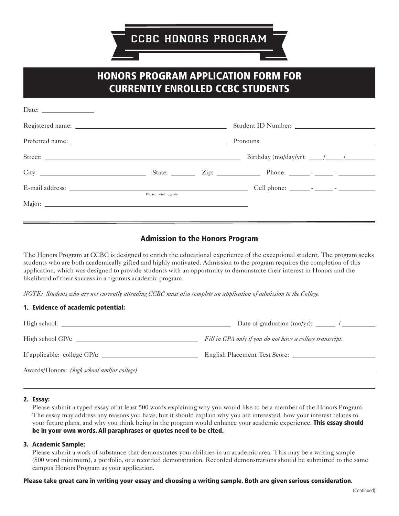# HONORS PROGRAM APPLICATION FORM FOR CURRENTLY ENROLLED CCBC STUDENTS

| Date: $\frac{1}{\sqrt{1-\frac{1}{2}} \cdot \frac{1}{2}}$ |                      |                                            |
|----------------------------------------------------------|----------------------|--------------------------------------------|
|                                                          |                      |                                            |
|                                                          |                      |                                            |
|                                                          |                      | Birthday (mo/day/yr): $\frac{\sqrt{2}}{2}$ |
|                                                          |                      |                                            |
|                                                          | Please print legibly |                                            |
|                                                          |                      |                                            |
|                                                          |                      |                                            |

## Admission to the Honors Program

The Honors Program at CCBC is designed to enrich the educational experience of the exceptional student. The program seeks students who are both academically gifted and highly motivated. Admission to the program requires the completion of this application, which was designed to provide students with an opportunity to demonstrate their interest in Honors and the likelihood of their success in a rigorous academic program.

*NOTE: Students who are not currently attending CCBC must also complete an application of admission to the College.* 

## 1. Evidence of academic potential:

|                                                    | Fill in GPA only if you do not have a college transcript. |
|----------------------------------------------------|-----------------------------------------------------------|
| If applicable: college GPA:                        | English Placement Test Score:                             |
| Awards/Honors: <i>(high school and/or college)</i> |                                                           |

#### 2. Essay:

Please submit a typed essay of at least 500 words explaining why you would like to be a member of the Honors Program. The essay may address any reasons you have, but it should explain why you are interested, how your interest relates to your future plans, and why you think being in the program would enhance your academic experience. This essay should be in your own words. All paraphrases or quotes need to be cited.

 $\overline{a}$ 

## 3. Academic Sample:

Please submit a work of substance that demonstrates your abilities in an academic area. This may be a writing sample (500 word minimum), a portfolio, or a recorded demonstration. Recorded demonstrations should be submitted to the same campus Honors Program as your application.

## Please take great care in writing your essay and choosing a writing sample. Both are given serious consideration.